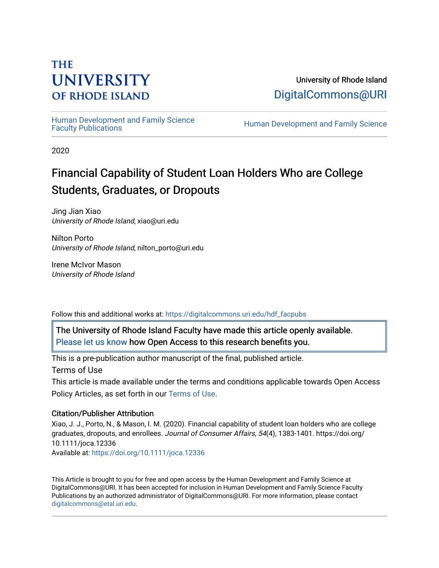# **THE UNIVERSITY OF RHODE ISLAND**

University of Rhode Island [DigitalCommons@URI](https://digitalcommons.uri.edu/) 

Human Development and Family Science<br>Faculty Publications

Human Development and Family Science

2020

# Financial Capability of Student Loan Holders Who are College Students, Graduates, or Dropouts

Jing Jian Xiao University of Rhode Island, xiao@uri.edu

Nilton Porto University of Rhode Island, nilton\_porto@uri.edu

Irene McIvor Mason University of Rhode Island

Follow this and additional works at: [https://digitalcommons.uri.edu/hdf\\_facpubs](https://digitalcommons.uri.edu/hdf_facpubs?utm_source=digitalcommons.uri.edu%2Fhdf_facpubs%2F89&utm_medium=PDF&utm_campaign=PDFCoverPages) 

The University of Rhode Island Faculty have made this article openly available. [Please let us know](http://web.uri.edu/library-digital-initiatives/open-access-online-form/) how Open Access to this research benefits you.

This is a pre-publication author manuscript of the final, published article.

Terms of Use

This article is made available under the terms and conditions applicable towards Open Access Policy Articles, as set forth in our [Terms of Use](https://digitalcommons.uri.edu/hdf_facpubs/oa_policy_terms.html).

## Citation/Publisher Attribution

Xiao, J. J., Porto, N., & Mason, I. M. (2020). Financial capability of student loan holders who are college graduates, dropouts, and enrollees. Journal of Consumer Affairs, 54(4), 1383-1401. https://doi.org/ 10.1111/joca.12336 Available at:<https://doi.org/10.1111/joca.12336>

This Article is brought to you for free and open access by the Human Development and Family Science at DigitalCommons@URI. It has been accepted for inclusion in Human Development and Family Science Faculty Publications by an authorized administrator of DigitalCommons@URI. For more information, please contact [digitalcommons@etal.uri.edu](mailto:digitalcommons@etal.uri.edu).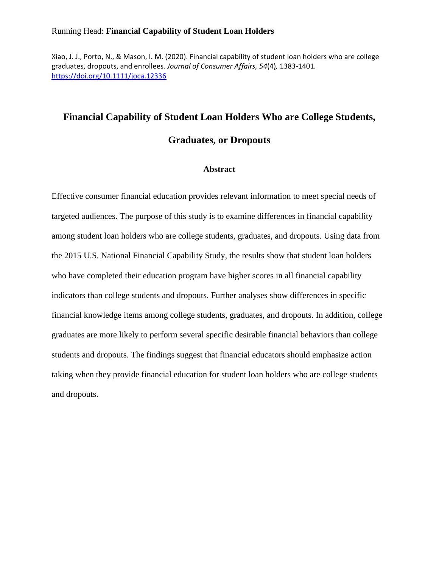#### Running Head: **Financial Capability of Student Loan Holders**

Xiao, J. J., Porto, N., & Mason, I. M. (2020). Financial capability of student loan holders who are college graduates, dropouts, and enrollees*. Journal of Consumer Affairs, 54*(4)*,* 1383-1401*.*  <https://doi.org/10.1111/joca.12336>

## **Financial Capability of Student Loan Holders Who are College Students,**

### **Graduates, or Dropouts**

#### **Abstract**

Effective consumer financial education provides relevant information to meet special needs of targeted audiences. The purpose of this study is to examine differences in financial capability among student loan holders who are college students, graduates, and dropouts. Using data from the 2015 U.S. National Financial Capability Study, the results show that student loan holders who have completed their education program have higher scores in all financial capability indicators than college students and dropouts. Further analyses show differences in specific financial knowledge items among college students, graduates, and dropouts. In addition, college graduates are more likely to perform several specific desirable financial behaviors than college students and dropouts. The findings suggest that financial educators should emphasize action taking when they provide financial education for student loan holders who are college students and dropouts.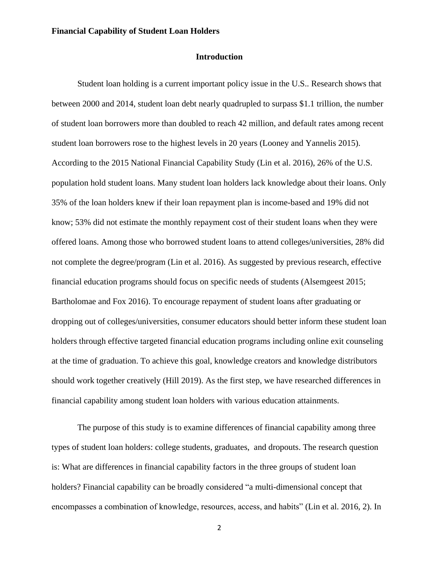#### **Introduction**

Student loan holding is a current important policy issue in the U.S.. Research shows that between 2000 and 2014, student loan debt nearly quadrupled to surpass \$1.1 trillion, the number of student loan borrowers more than doubled to reach 42 million, and default rates among recent student loan borrowers rose to the highest levels in 20 years (Looney and Yannelis 2015). According to the 2015 National Financial Capability Study (Lin et al. 2016), 26% of the U.S. population hold student loans. Many student loan holders lack knowledge about their loans. Only 35% of the loan holders knew if their loan repayment plan is income-based and 19% did not know; 53% did not estimate the monthly repayment cost of their student loans when they were offered loans. Among those who borrowed student loans to attend colleges/universities, 28% did not complete the degree/program (Lin et al. 2016). As suggested by previous research, effective financial education programs should focus on specific needs of students (Alsemgeest 2015; Bartholomae and Fox 2016). To encourage repayment of student loans after graduating or dropping out of colleges/universities, consumer educators should better inform these student loan holders through effective targeted financial education programs including online exit counseling at the time of graduation. To achieve this goal, knowledge creators and knowledge distributors should work together creatively (Hill 2019). As the first step, we have researched differences in financial capability among student loan holders with various education attainments.

The purpose of this study is to examine differences of financial capability among three types of student loan holders: college students, graduates, and dropouts. The research question is: What are differences in financial capability factors in the three groups of student loan holders? Financial capability can be broadly considered "a multi-dimensional concept that encompasses a combination of knowledge, resources, access, and habits" (Lin et al. 2016, 2). In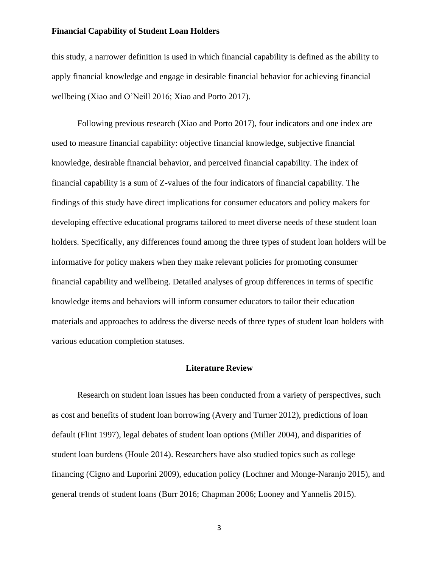this study, a narrower definition is used in which financial capability is defined as the ability to apply financial knowledge and engage in desirable financial behavior for achieving financial wellbeing (Xiao and O'Neill 2016; Xiao and Porto 2017).

Following previous research (Xiao and Porto 2017), four indicators and one index are used to measure financial capability: objective financial knowledge, subjective financial knowledge, desirable financial behavior, and perceived financial capability. The index of financial capability is a sum of Z-values of the four indicators of financial capability. The findings of this study have direct implications for consumer educators and policy makers for developing effective educational programs tailored to meet diverse needs of these student loan holders. Specifically, any differences found among the three types of student loan holders will be informative for policy makers when they make relevant policies for promoting consumer financial capability and wellbeing. Detailed analyses of group differences in terms of specific knowledge items and behaviors will inform consumer educators to tailor their education materials and approaches to address the diverse needs of three types of student loan holders with various education completion statuses.

#### **Literature Review**

Research on student loan issues has been conducted from a variety of perspectives, such as cost and benefits of student loan borrowing (Avery and Turner 2012), predictions of loan default (Flint 1997), legal debates of student loan options (Miller 2004), and disparities of student loan burdens (Houle 2014). Researchers have also studied topics such as college financing (Cigno and Luporini 2009), education policy (Lochner and Monge-Naranjo 2015), and general trends of student loans (Burr 2016; Chapman 2006; Looney and Yannelis 2015).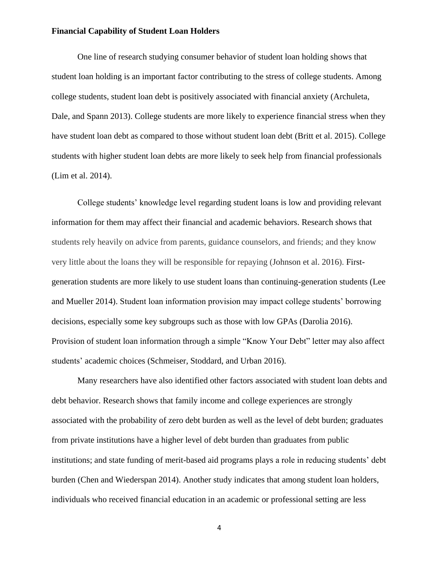One line of research studying consumer behavior of student loan holding shows that student loan holding is an important factor contributing to the stress of college students. Among college students, student loan debt is positively associated with financial anxiety (Archuleta, Dale, and Spann 2013). College students are more likely to experience financial stress when they have student loan debt as compared to those without student loan debt (Britt et al. 2015). College students with higher student loan debts are more likely to seek help from financial professionals (Lim et al. 2014).

College students' knowledge level regarding student loans is low and providing relevant information for them may affect their financial and academic behaviors. Research shows that students rely heavily on advice from parents, guidance counselors, and friends; and they know very little about the loans they will be responsible for repaying (Johnson et al. 2016). Firstgeneration students are more likely to use student loans than continuing-generation students (Lee and Mueller 2014). Student loan information provision may impact college students' borrowing decisions, especially some key subgroups such as those with low GPAs (Darolia 2016). Provision of student loan information through a simple "Know Your Debt" letter may also affect students' academic choices (Schmeiser, Stoddard, and Urban 2016).

Many researchers have also identified other factors associated with student loan debts and debt behavior. Research shows that family income and college experiences are strongly associated with the probability of zero debt burden as well as the level of debt burden; graduates from private institutions have a higher level of debt burden than graduates from public institutions; and state funding of merit-based aid programs plays a role in reducing students' debt burden (Chen and Wiederspan 2014). Another study indicates that among student loan holders, individuals who received financial education in an academic or professional setting are less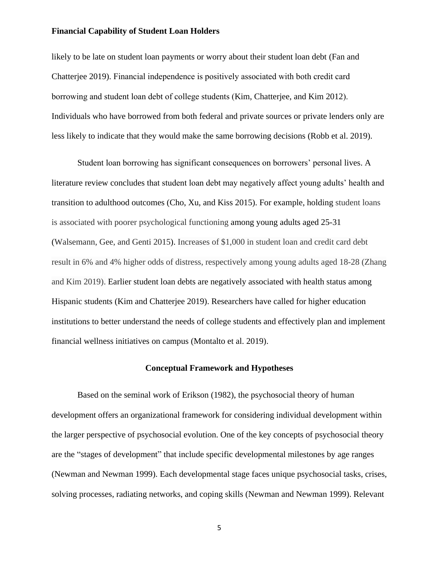likely to be late on student loan payments or worry about their student loan debt (Fan and Chatterjee 2019). Financial independence is positively associated with both credit card borrowing and student loan debt of college students (Kim, Chatterjee, and Kim 2012). Individuals who have borrowed from both federal and private sources or private lenders only are less likely to indicate that they would make the same borrowing decisions (Robb et al. 2019).

Student loan borrowing has significant consequences on borrowers' personal lives. A literature review concludes that student loan debt may negatively affect young adults' health and transition to adulthood outcomes (Cho, Xu, and Kiss 2015). For example, holding student loans is associated with poorer psychological functioning among young adults aged 25-31 (Walsemann, Gee, and Genti 2015). Increases of \$1,000 in student loan and credit card debt result in 6% and 4% higher odds of distress, respectively among young adults aged 18-28 (Zhang and Kim 2019). Earlier student loan debts are negatively associated with health status among Hispanic students (Kim and Chatterjee 2019). Researchers have called for higher education institutions to better understand the needs of college students and effectively plan and implement financial wellness initiatives on campus (Montalto et al. 2019).

#### **Conceptual Framework and Hypotheses**

Based on the seminal work of Erikson (1982), the psychosocial theory of human development offers an organizational framework for considering individual development within the larger perspective of psychosocial evolution. One of the key concepts of psychosocial theory are the "stages of development" that include specific developmental milestones by age ranges (Newman and Newman 1999). Each developmental stage faces unique psychosocial tasks, crises, solving processes, radiating networks, and coping skills (Newman and Newman 1999). Relevant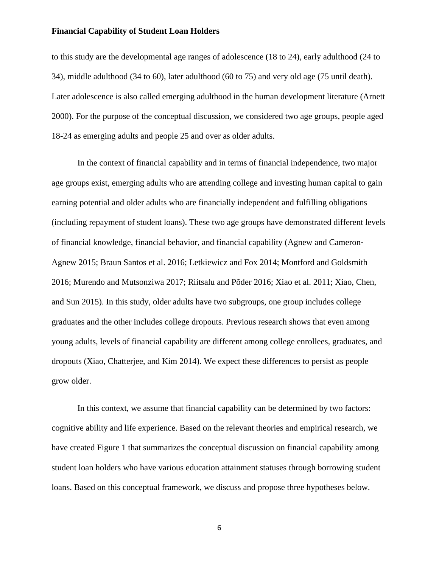to this study are the developmental age ranges of adolescence (18 to 24), early adulthood (24 to 34), middle adulthood (34 to 60), later adulthood (60 to 75) and very old age (75 until death). Later adolescence is also called emerging adulthood in the human development literature (Arnett 2000). For the purpose of the conceptual discussion, we considered two age groups, people aged 18-24 as emerging adults and people 25 and over as older adults.

In the context of financial capability and in terms of financial independence, two major age groups exist, emerging adults who are attending college and investing human capital to gain earning potential and older adults who are financially independent and fulfilling obligations (including repayment of student loans). These two age groups have demonstrated different levels of financial knowledge, financial behavior, and financial capability (Agnew and Cameron‐ Agnew 2015; Braun Santos et al. 2016; Letkiewicz and Fox 2014; Montford and Goldsmith 2016; Murendo and Mutsonziwa 2017; Riitsalu and Põder 2016; Xiao et al. 2011; Xiao, Chen, and Sun 2015). In this study, older adults have two subgroups, one group includes college graduates and the other includes college dropouts. Previous research shows that even among young adults, levels of financial capability are different among college enrollees, graduates, and dropouts (Xiao, Chatterjee, and Kim 2014). We expect these differences to persist as people grow older.

In this context, we assume that financial capability can be determined by two factors: cognitive ability and life experience. Based on the relevant theories and empirical research, we have created Figure 1 that summarizes the conceptual discussion on financial capability among student loan holders who have various education attainment statuses through borrowing student loans. Based on this conceptual framework, we discuss and propose three hypotheses below.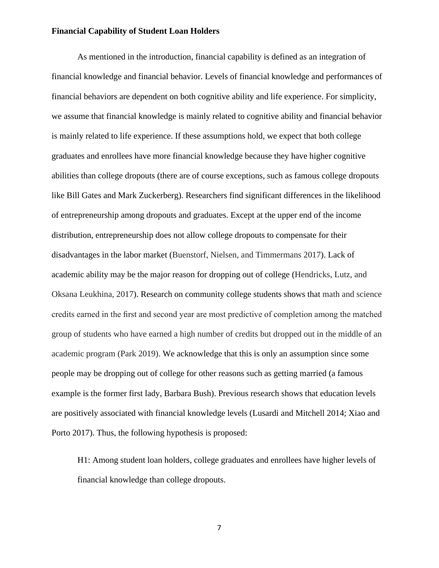As mentioned in the introduction, financial capability is defined as an integration of financial knowledge and financial behavior. Levels of financial knowledge and performances of financial behaviors are dependent on both cognitive ability and life experience. For simplicity, we assume that financial knowledge is mainly related to cognitive ability and financial behavior is mainly related to life experience. If these assumptions hold, we expect that both college graduates and enrollees have more financial knowledge because they have higher cognitive abilities than college dropouts (there are of course exceptions, such as famous college dropouts like Bill Gates and Mark Zuckerberg). Researchers find significant differences in the likelihood of entrepreneurship among dropouts and graduates. Except at the upper end of the income distribution, entrepreneurship does not allow college dropouts to compensate for their disadvantages in the labor market (Buenstorf, Nielsen, and Timmermans 2017). Lack of academic ability may be the major reason for dropping out of college (Hendricks, Lutz, and Oksana Leukhina, 2017). Research on community college students shows that math and science credits earned in the first and second year are most predictive of completion among the matched group of students who have earned a high number of credits but dropped out in the middle of an academic program (Park 2019). We acknowledge that this is only an assumption since some people may be dropping out of college for other reasons such as getting married (a famous example is the former first lady, Barbara Bush). Previous research shows that education levels are positively associated with financial knowledge levels (Lusardi and Mitchell 2014; Xiao and Porto 2017). Thus, the following hypothesis is proposed:

H1: Among student loan holders, college graduates and enrollees have higher levels of financial knowledge than college dropouts.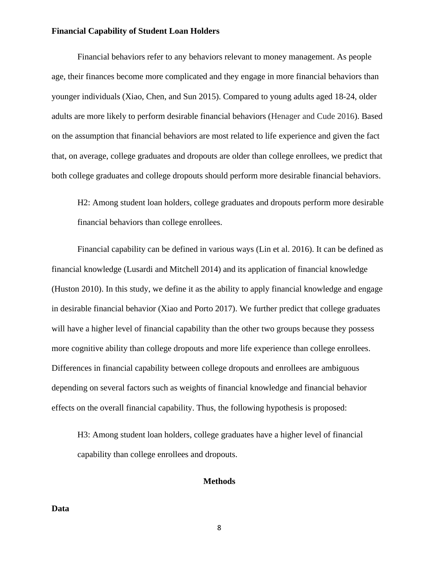Financial behaviors refer to any behaviors relevant to money management. As people age, their finances become more complicated and they engage in more financial behaviors than younger individuals (Xiao, Chen, and Sun 2015). Compared to young adults aged 18-24, older adults are more likely to perform desirable financial behaviors (Henager and Cude 2016). Based on the assumption that financial behaviors are most related to life experience and given the fact that, on average, college graduates and dropouts are older than college enrollees, we predict that both college graduates and college dropouts should perform more desirable financial behaviors.

H2: Among student loan holders, college graduates and dropouts perform more desirable financial behaviors than college enrollees.

Financial capability can be defined in various ways (Lin et al. 2016). It can be defined as financial knowledge (Lusardi and Mitchell 2014) and its application of financial knowledge (Huston 2010). In this study, we define it as the ability to apply financial knowledge and engage in desirable financial behavior (Xiao and Porto 2017). We further predict that college graduates will have a higher level of financial capability than the other two groups because they possess more cognitive ability than college dropouts and more life experience than college enrollees. Differences in financial capability between college dropouts and enrollees are ambiguous depending on several factors such as weights of financial knowledge and financial behavior effects on the overall financial capability. Thus, the following hypothesis is proposed:

H3: Among student loan holders, college graduates have a higher level of financial capability than college enrollees and dropouts.

#### **Methods**

#### **Data**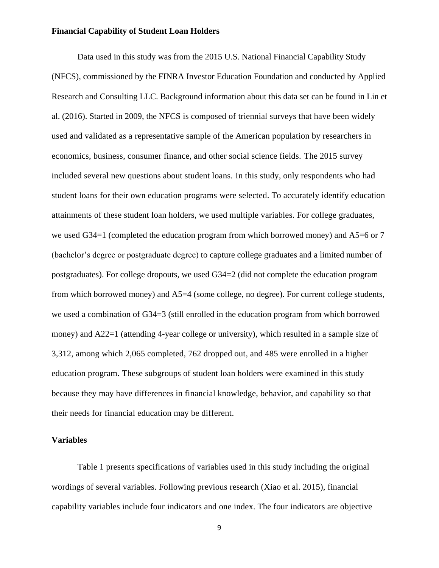Data used in this study was from the 2015 U.S. National Financial Capability Study (NFCS), commissioned by the FINRA Investor Education Foundation and conducted by Applied Research and Consulting LLC. Background information about this data set can be found in Lin et al. (2016). Started in 2009, the NFCS is composed of triennial surveys that have been widely used and validated as a representative sample of the American population by researchers in economics, business, consumer finance, and other social science fields. The 2015 survey included several new questions about student loans. In this study, only respondents who had student loans for their own education programs were selected. To accurately identify education attainments of these student loan holders, we used multiple variables. For college graduates, we used G34=1 (completed the education program from which borrowed money) and A5=6 or 7 (bachelor's degree or postgraduate degree) to capture college graduates and a limited number of postgraduates). For college dropouts, we used G34=2 (did not complete the education program from which borrowed money) and A5=4 (some college, no degree). For current college students, we used a combination of G34=3 (still enrolled in the education program from which borrowed money) and A22=1 (attending 4-year college or university), which resulted in a sample size of 3,312, among which 2,065 completed, 762 dropped out, and 485 were enrolled in a higher education program. These subgroups of student loan holders were examined in this study because they may have differences in financial knowledge, behavior, and capability so that their needs for financial education may be different.

#### **Variables**

Table 1 presents specifications of variables used in this study including the original wordings of several variables. Following previous research (Xiao et al. 2015), financial capability variables include four indicators and one index. The four indicators are objective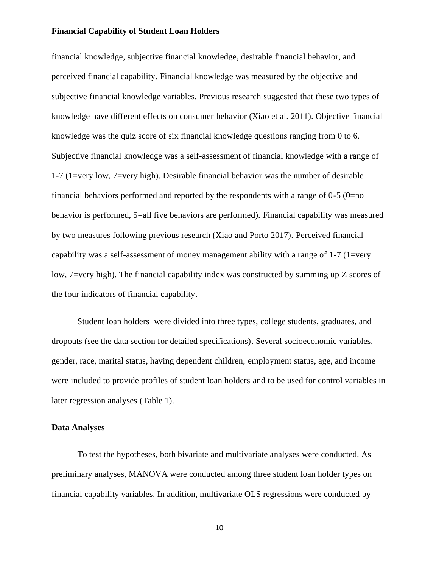financial knowledge, subjective financial knowledge, desirable financial behavior, and perceived financial capability. Financial knowledge was measured by the objective and subjective financial knowledge variables. Previous research suggested that these two types of knowledge have different effects on consumer behavior (Xiao et al. 2011). Objective financial knowledge was the quiz score of six financial knowledge questions ranging from 0 to 6. Subjective financial knowledge was a self-assessment of financial knowledge with a range of 1-7 (1=very low, 7=very high). Desirable financial behavior was the number of desirable financial behaviors performed and reported by the respondents with a range of  $0-5$  ( $0=$ no behavior is performed, 5=all five behaviors are performed). Financial capability was measured by two measures following previous research (Xiao and Porto 2017). Perceived financial capability was a self-assessment of money management ability with a range of  $1-7$  (1=very low, 7=very high). The financial capability index was constructed by summing up Z scores of the four indicators of financial capability.

Student loan holders were divided into three types, college students, graduates, and dropouts (see the data section for detailed specifications). Several socioeconomic variables, gender, race, marital status, having dependent children, employment status, age, and income were included to provide profiles of student loan holders and to be used for control variables in later regression analyses (Table 1).

#### **Data Analyses**

To test the hypotheses, both bivariate and multivariate analyses were conducted. As preliminary analyses, MANOVA were conducted among three student loan holder types on financial capability variables. In addition, multivariate OLS regressions were conducted by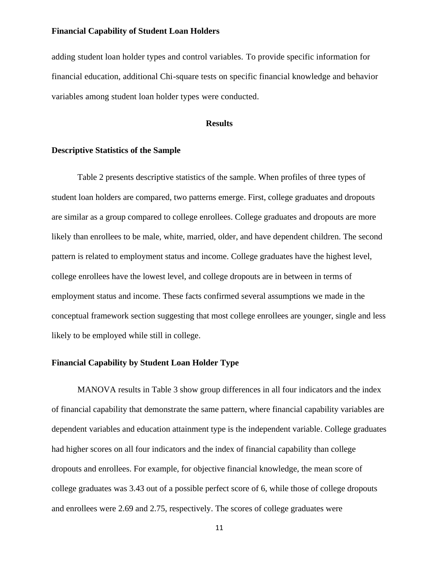adding student loan holder types and control variables. To provide specific information for financial education, additional Chi-square tests on specific financial knowledge and behavior variables among student loan holder types were conducted.

### **Results**

#### **Descriptive Statistics of the Sample**

Table 2 presents descriptive statistics of the sample. When profiles of three types of student loan holders are compared, two patterns emerge. First, college graduates and dropouts are similar as a group compared to college enrollees. College graduates and dropouts are more likely than enrollees to be male, white, married, older, and have dependent children. The second pattern is related to employment status and income. College graduates have the highest level, college enrollees have the lowest level, and college dropouts are in between in terms of employment status and income. These facts confirmed several assumptions we made in the conceptual framework section suggesting that most college enrollees are younger, single and less likely to be employed while still in college.

#### **Financial Capability by Student Loan Holder Type**

MANOVA results in Table 3 show group differences in all four indicators and the index of financial capability that demonstrate the same pattern, where financial capability variables are dependent variables and education attainment type is the independent variable. College graduates had higher scores on all four indicators and the index of financial capability than college dropouts and enrollees. For example, for objective financial knowledge, the mean score of college graduates was 3.43 out of a possible perfect score of 6, while those of college dropouts and enrollees were 2.69 and 2.75, respectively. The scores of college graduates were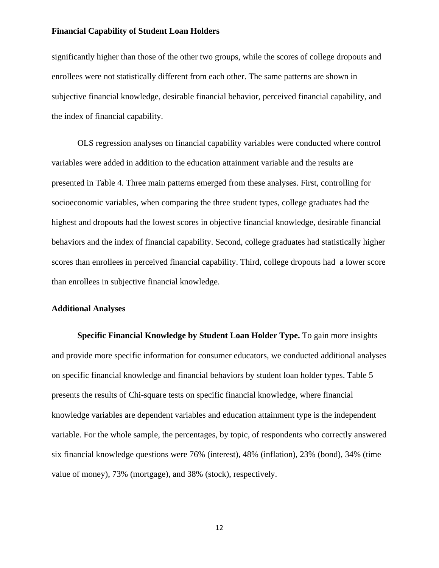significantly higher than those of the other two groups, while the scores of college dropouts and enrollees were not statistically different from each other. The same patterns are shown in subjective financial knowledge, desirable financial behavior, perceived financial capability, and the index of financial capability.

OLS regression analyses on financial capability variables were conducted where control variables were added in addition to the education attainment variable and the results are presented in Table 4. Three main patterns emerged from these analyses. First, controlling for socioeconomic variables, when comparing the three student types, college graduates had the highest and dropouts had the lowest scores in objective financial knowledge, desirable financial behaviors and the index of financial capability. Second, college graduates had statistically higher scores than enrollees in perceived financial capability. Third, college dropouts had a lower score than enrollees in subjective financial knowledge.

#### **Additional Analyses**

**Specific Financial Knowledge by Student Loan Holder Type.** To gain more insights and provide more specific information for consumer educators, we conducted additional analyses on specific financial knowledge and financial behaviors by student loan holder types. Table 5 presents the results of Chi-square tests on specific financial knowledge, where financial knowledge variables are dependent variables and education attainment type is the independent variable. For the whole sample, the percentages, by topic, of respondents who correctly answered six financial knowledge questions were 76% (interest), 48% (inflation), 23% (bond), 34% (time value of money), 73% (mortgage), and 38% (stock), respectively.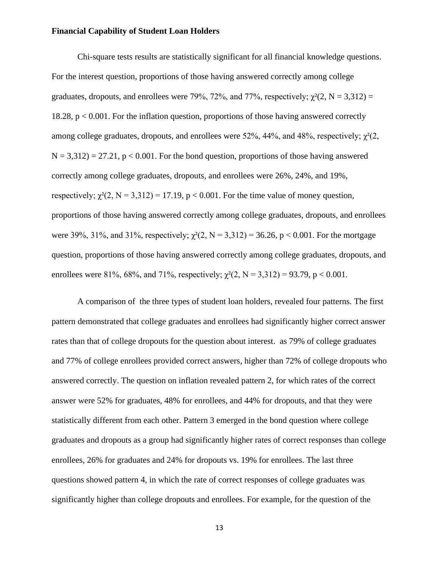Chi-square tests results are statistically significant for all financial knowledge questions. For the interest question, proportions of those having answered correctly among college graduates, dropouts, and enrollees were 79%, 72%, and 77%, respectively;  $\chi^2(2, N = 3,312) =$ 18.28, p < 0.001. For the inflation question, proportions of those having answered correctly among college graduates, dropouts, and enrollees were 52%, 44%, and 48%, respectively;  $\chi^2(2)$ ,  $N = 3,312$  = 27.21, p < 0.001. For the bond question, proportions of those having answered correctly among college graduates, dropouts, and enrollees were 26%, 24%, and 19%, respectively;  $\chi^2(2, N = 3,312) = 17.19$ , p < 0.001. For the time value of money question, proportions of those having answered correctly among college graduates, dropouts, and enrollees were 39%, 31%, and 31%, respectively;  $\chi^2(2, N = 3.312) = 36.26$ , p < 0.001. For the mortgage question, proportions of those having answered correctly among college graduates, dropouts, and enrollees were 81%, 68%, and 71%, respectively;  $\chi^2(2, N = 3,312) = 93.79$ , p < 0.001.

A comparison of the three types of student loan holders, revealed four patterns. The first pattern demonstrated that college graduates and enrollees had significantly higher correct answer rates than that of college dropouts for the question about interest. as 79% of college graduates and 77% of college enrollees provided correct answers, higher than 72% of college dropouts who answered correctly. The question on inflation revealed pattern 2, for which rates of the correct answer were 52% for graduates, 48% for enrollees, and 44% for dropouts, and that they were statistically different from each other. Pattern 3 emerged in the bond question where college graduates and dropouts as a group had significantly higher rates of correct responses than college enrollees, 26% for graduates and 24% for dropouts vs. 19% for enrollees. The last three questions showed pattern 4, in which the rate of correct responses of college graduates was significantly higher than college dropouts and enrollees. For example, for the question of the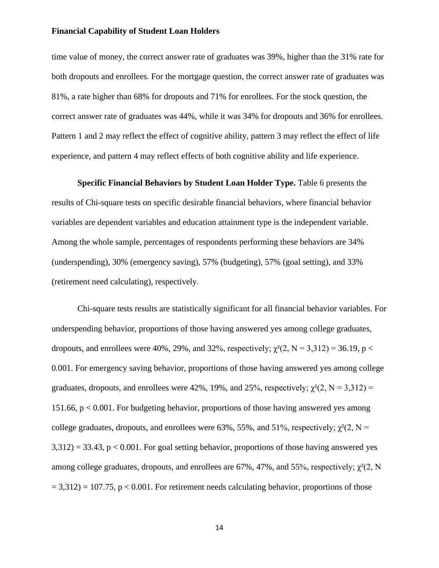time value of money, the correct answer rate of graduates was 39%, higher than the 31% rate for both dropouts and enrollees. For the mortgage question, the correct answer rate of graduates was 81%, a rate higher than 68% for dropouts and 71% for enrollees. For the stock question, the correct answer rate of graduates was 44%, while it was 34% for dropouts and 36% for enrollees. Pattern 1 and 2 may reflect the effect of cognitive ability, pattern 3 may reflect the effect of life experience, and pattern 4 may reflect effects of both cognitive ability and life experience.

**Specific Financial Behaviors by Student Loan Holder Type.** Table 6 presents the results of Chi-square tests on specific desirable financial behaviors, where financial behavior variables are dependent variables and education attainment type is the independent variable. Among the whole sample, percentages of respondents performing these behaviors are 34% (underspending), 30% (emergency saving), 57% (budgeting), 57% (goal setting), and 33% (retirement need calculating), respectively.

Chi-square tests results are statistically significant for all financial behavior variables. For underspending behavior, proportions of those having answered yes among college graduates, dropouts, and enrollees were 40%, 29%, and 32%, respectively;  $\chi^2(2, N = 3,312) = 36.19$ , p < 0.001. For emergency saving behavior, proportions of those having answered yes among college graduates, dropouts, and enrollees were 42%, 19%, and 25%, respectively;  $\chi^2(2, N = 3,312)$  = 151.66,  $p < 0.001$ . For budgeting behavior, proportions of those having answered yes among college graduates, dropouts, and enrollees were 63%, 55%, and 51%, respectively;  $\gamma^2(2, N =$  $3,312$ ) = 33.43, p < 0.001. For goal setting behavior, proportions of those having answered yes among college graduates, dropouts, and enrollees are 67%, 47%, and 55%, respectively;  $\gamma^2$ (2, N  $= 3.312$ ) = 107.75, p < 0.001. For retirement needs calculating behavior, proportions of those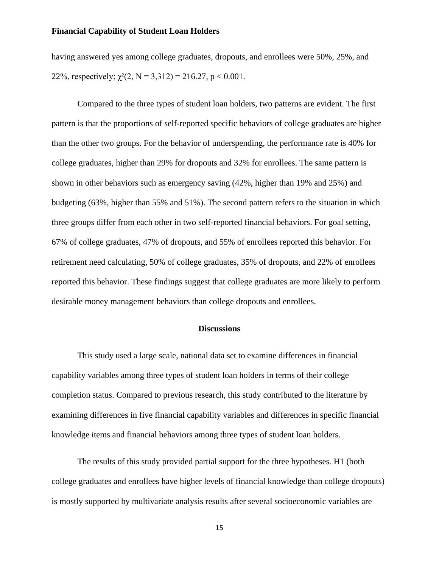having answered yes among college graduates, dropouts, and enrollees were 50%, 25%, and 22%, respectively;  $\chi^2(2, N = 3.312) = 216.27$ ,  $p < 0.001$ .

Compared to the three types of student loan holders, two patterns are evident. The first pattern is that the proportions of self-reported specific behaviors of college graduates are higher than the other two groups. For the behavior of underspending, the performance rate is 40% for college graduates, higher than 29% for dropouts and 32% for enrollees. The same pattern is shown in other behaviors such as emergency saving (42%, higher than 19% and 25%) and budgeting (63%, higher than 55% and 51%). The second pattern refers to the situation in which three groups differ from each other in two self-reported financial behaviors. For goal setting, 67% of college graduates, 47% of dropouts, and 55% of enrollees reported this behavior. For retirement need calculating, 50% of college graduates, 35% of dropouts, and 22% of enrollees reported this behavior. These findings suggest that college graduates are more likely to perform desirable money management behaviors than college dropouts and enrollees.

#### **Discussions**

This study used a large scale, national data set to examine differences in financial capability variables among three types of student loan holders in terms of their college completion status. Compared to previous research, this study contributed to the literature by examining differences in five financial capability variables and differences in specific financial knowledge items and financial behaviors among three types of student loan holders.

The results of this study provided partial support for the three hypotheses. H1 (both college graduates and enrollees have higher levels of financial knowledge than college dropouts) is mostly supported by multivariate analysis results after several socioeconomic variables are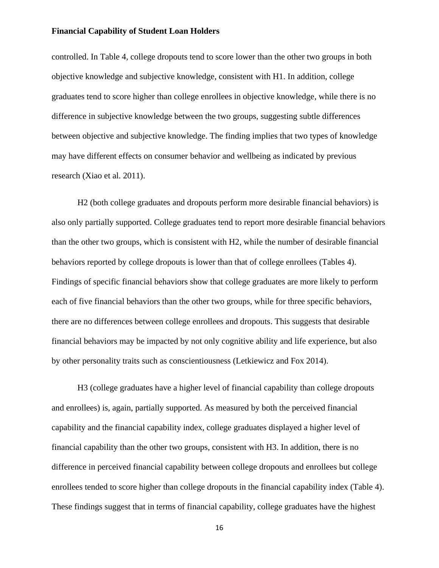controlled. In Table 4, college dropouts tend to score lower than the other two groups in both objective knowledge and subjective knowledge, consistent with H1. In addition, college graduates tend to score higher than college enrollees in objective knowledge, while there is no difference in subjective knowledge between the two groups, suggesting subtle differences between objective and subjective knowledge. The finding implies that two types of knowledge may have different effects on consumer behavior and wellbeing as indicated by previous research (Xiao et al. 2011).

H2 (both college graduates and dropouts perform more desirable financial behaviors) is also only partially supported. College graduates tend to report more desirable financial behaviors than the other two groups, which is consistent with H2, while the number of desirable financial behaviors reported by college dropouts is lower than that of college enrollees (Tables 4). Findings of specific financial behaviors show that college graduates are more likely to perform each of five financial behaviors than the other two groups, while for three specific behaviors, there are no differences between college enrollees and dropouts. This suggests that desirable financial behaviors may be impacted by not only cognitive ability and life experience, but also by other personality traits such as conscientiousness (Letkiewicz and Fox 2014).

H3 (college graduates have a higher level of financial capability than college dropouts and enrollees) is, again, partially supported. As measured by both the perceived financial capability and the financial capability index, college graduates displayed a higher level of financial capability than the other two groups, consistent with H3. In addition, there is no difference in perceived financial capability between college dropouts and enrollees but college enrollees tended to score higher than college dropouts in the financial capability index (Table 4). These findings suggest that in terms of financial capability, college graduates have the highest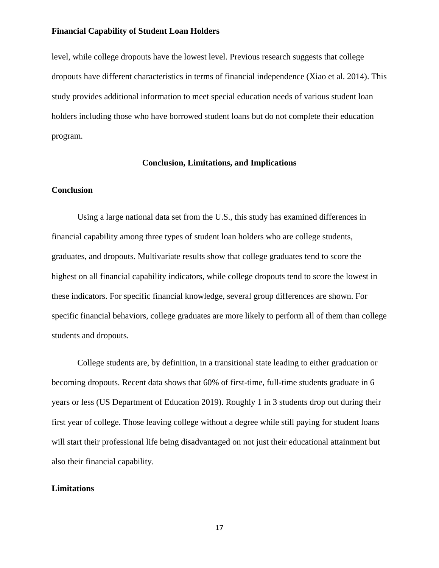level, while college dropouts have the lowest level. Previous research suggests that college dropouts have different characteristics in terms of financial independence (Xiao et al. 2014). This study provides additional information to meet special education needs of various student loan holders including those who have borrowed student loans but do not complete their education program.

#### **Conclusion, Limitations, and Implications**

#### **Conclusion**

Using a large national data set from the U.S., this study has examined differences in financial capability among three types of student loan holders who are college students, graduates, and dropouts. Multivariate results show that college graduates tend to score the highest on all financial capability indicators, while college dropouts tend to score the lowest in these indicators. For specific financial knowledge, several group differences are shown. For specific financial behaviors, college graduates are more likely to perform all of them than college students and dropouts.

College students are, by definition, in a transitional state leading to either graduation or becoming dropouts. Recent data shows that 60% of first-time, full-time students graduate in 6 years or less (US Department of Education 2019). Roughly 1 in 3 students drop out during their first year of college. Those leaving college without a degree while still paying for student loans will start their professional life being disadvantaged on not just their educational attainment but also their financial capability.

#### **Limitations**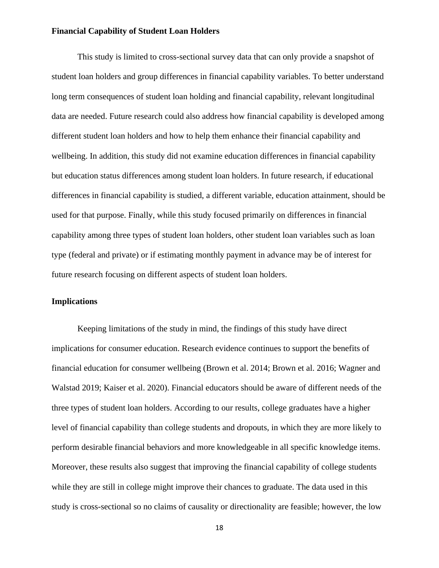This study is limited to cross-sectional survey data that can only provide a snapshot of student loan holders and group differences in financial capability variables. To better understand long term consequences of student loan holding and financial capability, relevant longitudinal data are needed. Future research could also address how financial capability is developed among different student loan holders and how to help them enhance their financial capability and wellbeing. In addition, this study did not examine education differences in financial capability but education status differences among student loan holders. In future research, if educational differences in financial capability is studied, a different variable, education attainment, should be used for that purpose. Finally, while this study focused primarily on differences in financial capability among three types of student loan holders, other student loan variables such as loan type (federal and private) or if estimating monthly payment in advance may be of interest for future research focusing on different aspects of student loan holders.

#### **Implications**

Keeping limitations of the study in mind, the findings of this study have direct implications for consumer education. Research evidence continues to support the benefits of financial education for consumer wellbeing (Brown et al. 2014; Brown et al. 2016; Wagner and Walstad 2019; Kaiser et al. 2020). Financial educators should be aware of different needs of the three types of student loan holders. According to our results, college graduates have a higher level of financial capability than college students and dropouts, in which they are more likely to perform desirable financial behaviors and more knowledgeable in all specific knowledge items. Moreover, these results also suggest that improving the financial capability of college students while they are still in college might improve their chances to graduate. The data used in this study is cross-sectional so no claims of causality or directionality are feasible; however, the low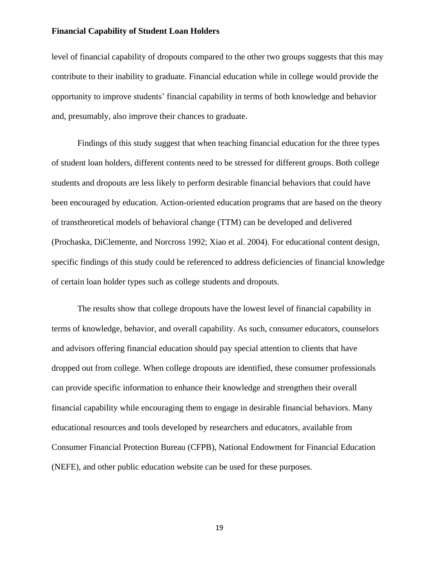level of financial capability of dropouts compared to the other two groups suggests that this may contribute to their inability to graduate. Financial education while in college would provide the opportunity to improve students' financial capability in terms of both knowledge and behavior and, presumably, also improve their chances to graduate.

Findings of this study suggest that when teaching financial education for the three types of student loan holders, different contents need to be stressed for different groups. Both college students and dropouts are less likely to perform desirable financial behaviors that could have been encouraged by education. Action-oriented education programs that are based on the theory of transtheoretical models of behavioral change (TTM) can be developed and delivered (Prochaska, DiClemente, and Norcross 1992; Xiao et al. 2004). For educational content design, specific findings of this study could be referenced to address deficiencies of financial knowledge of certain loan holder types such as college students and dropouts.

The results show that college dropouts have the lowest level of financial capability in terms of knowledge, behavior, and overall capability. As such, consumer educators, counselors and advisors offering financial education should pay special attention to clients that have dropped out from college. When college dropouts are identified, these consumer professionals can provide specific information to enhance their knowledge and strengthen their overall financial capability while encouraging them to engage in desirable financial behaviors. Many educational resources and tools developed by researchers and educators, available from Consumer Financial Protection Bureau (CFPB), National Endowment for Financial Education (NEFE), and other public education website can be used for these purposes.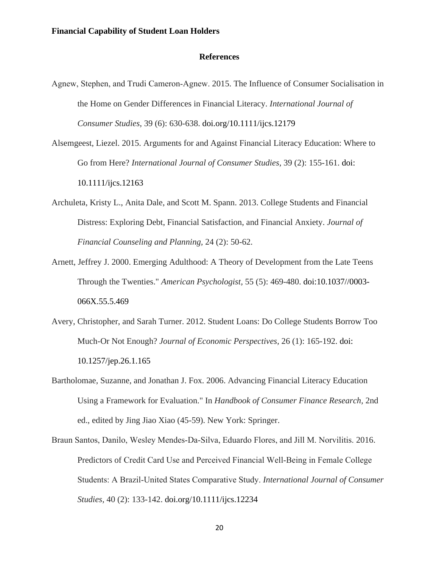#### **References**

- Agnew, Stephen, and Trudi Cameron‐Agnew. 2015. The Influence of Consumer Socialisation in the Home on Gender Differences in Financial Literacy. *International Journal of Consumer Studies,* 39 (6): 630-638. doi.org/10.1111/ijcs.12179
- Alsemgeest, Liezel. 2015. Arguments for and Against Financial Literacy Education: Where to Go from Here? *International Journal of Consumer Studies,* 39 (2): 155-161. doi: 10.1111/ijcs.12163
- Archuleta, Kristy L., Anita Dale, and Scott M. Spann. 2013. College Students and Financial Distress: Exploring Debt, Financial Satisfaction, and Financial Anxiety. *Journal of Financial Counseling and Planning,* 24 (2): 50-62.
- Arnett, Jeffrey J. 2000. Emerging Adulthood: A Theory of Development from the Late Teens Through the Twenties." *American Psychologist,* 55 (5): 469-480. doi:10.1037//0003- 066X.55.5.469
- Avery, Christopher, and Sarah Turner. 2012. Student Loans: Do College Students Borrow Too Much-Or Not Enough? *Journal of Economic Perspectives,* 26 (1): 165-192. doi: 10.1257/jep.26.1.165
- Bartholomae, Suzanne, and Jonathan J. Fox. 2006. Advancing Financial Literacy Education Using a Framework for Evaluation." In *Handbook of Consumer Finance Research,* 2nd ed., edited by Jing Jiao Xiao (45-59). New York: Springer.
- Braun Santos, Danilo, Wesley Mendes‐Da‐Silva, Eduardo Flores, and Jill M. Norvilitis. 2016. Predictors of Credit Card Use and Perceived Financial Well‐Being in Female College Students: A Brazil‐United States Comparative Study. *International Journal of Consumer Studies,* 40 (2): 133-142. doi.org/10.1111/ijcs.12234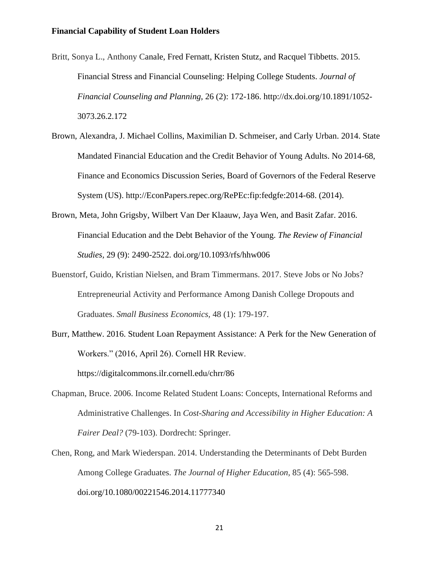- Britt, Sonya L., Anthony Canale, Fred Fernatt, Kristen Stutz, and Racquel Tibbetts. 2015. Financial Stress and Financial Counseling: Helping College Students. *Journal of Financial Counseling and Planning,* 26 (2): 172-186. http://dx.doi.org/10.1891/1052- 3073.26.2.172
- Brown, Alexandra, J. Michael Collins, Maximilian D. Schmeiser, and Carly Urban. 2014. State Mandated Financial Education and the Credit Behavior of Young Adults. No 2014-68, Finance and Economics Discussion Series, Board of Governors of the Federal Reserve System (US). http://EconPapers.repec.org/RePEc:fip:fedgfe:2014-68. (2014).
- Brown, Meta, John Grigsby, Wilbert Van Der Klaauw, Jaya Wen, and Basit Zafar. 2016. Financial Education and the Debt Behavior of the Young. *The Review of Financial Studies,* 29 (9): 2490-2522. doi.org/10.1093/rfs/hhw006
- Buenstorf, Guido, Kristian Nielsen, and Bram Timmermans. 2017. Steve Jobs or No Jobs? Entrepreneurial Activity and Performance Among Danish College Dropouts and Graduates. *Small Business Economics,* 48 (1): 179-197.
- Burr, Matthew. 2016. Student Loan Repayment Assistance: A Perk for the New Generation of Workers." (2016, April 26). Cornell HR Review. https://digitalcommons.ilr.cornell.edu/chrr/86
- Chapman, Bruce. 2006. Income Related Student Loans: Concepts, International Reforms and Administrative Challenges. In *Cost-Sharing and Accessibility in Higher Education: A Fairer Deal?* (79-103). Dordrecht: Springer.
- Chen, Rong, and Mark Wiederspan. 2014. Understanding the Determinants of Debt Burden Among College Graduates. *The Journal of Higher Education,* 85 (4): 565-598. doi.org/10.1080/00221546.2014.11777340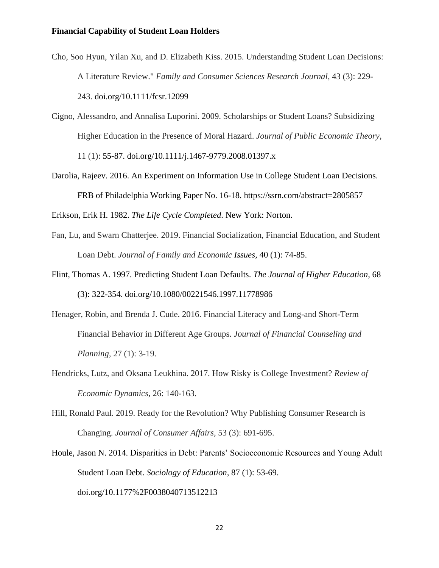- Cho, Soo Hyun, Yilan Xu, and D. Elizabeth Kiss. 2015. Understanding Student Loan Decisions: A Literature Review." *Family and Consumer Sciences Research Journal,* 43 (3): 229- 243. doi.org/10.1111/fcsr.12099
- Cigno, Alessandro, and Annalisa Luporini. 2009. Scholarships or Student Loans? Subsidizing Higher Education in the Presence of Moral Hazard. *Journal of Public Economic Theory,* 11 (1): 55-87. doi.org/10.1111/j.1467-9779.2008.01397.x
- Darolia, Rajeev. 2016. An Experiment on Information Use in College Student Loan Decisions. FRB of Philadelphia Working Paper No. 16-18. https://ssrn.com/abstract=2805857

Erikson, Erik H. 1982. *The Life Cycle Completed*. New York: Norton.

- Fan, Lu, and Swarn Chatterjee. 2019. Financial Socialization, Financial Education, and Student Loan Debt. *Journal of Family and Economic Issues,* 40 (1): 74-85.
- Flint, Thomas A. 1997. Predicting Student Loan Defaults. *The Journal of Higher Education,* 68 (3): 322-354. doi.org/10.1080/00221546.1997.11778986
- Henager, Robin, and Brenda J. Cude. 2016. Financial Literacy and Long-and Short-Term Financial Behavior in Different Age Groups. *Journal of Financial Counseling and Planning,* 27 (1): 3-19.
- Hendricks, Lutz, and Oksana Leukhina. 2017. How Risky is College Investment? *Review of Economic Dynamics,* 26: 140-163.
- Hill, Ronald Paul. 2019. Ready for the Revolution? Why Publishing Consumer Research is Changing. *Journal of Consumer Affairs,* 53 (3): 691-695.
- Houle, Jason N. 2014. Disparities in Debt: Parents' Socioeconomic Resources and Young Adult Student Loan Debt. *Sociology of Education,* 87 (1): 53-69. doi.org/10.1177%2F0038040713512213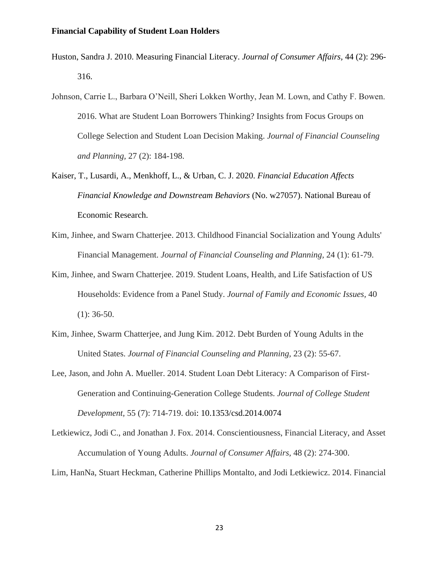- Huston, Sandra J. 2010. Measuring Financial Literacy. *Journal of Consumer Affairs,* 44 (2): 296- 316.
- Johnson, Carrie L., Barbara O'Neill, Sheri Lokken Worthy, Jean M. Lown, and Cathy F. Bowen. 2016. What are Student Loan Borrowers Thinking? Insights from Focus Groups on College Selection and Student Loan Decision Making. *Journal of Financial Counseling and Planning,* 27 (2): 184-198.
- Kaiser, T., Lusardi, A., Menkhoff, L., & Urban, C. J. 2020. *Financial Education Affects Financial Knowledge and Downstream Behaviors* (No. w27057). National Bureau of Economic Research.
- Kim, Jinhee, and Swarn Chatterjee. 2013. Childhood Financial Socialization and Young Adults' Financial Management. *Journal of Financial Counseling and Planning,* 24 (1): 61-79.
- Kim, Jinhee, and Swarn Chatterjee. 2019. Student Loans, Health, and Life Satisfaction of US Households: Evidence from a Panel Study. *Journal of Family and Economic Issues,* 40  $(1)$ : 36-50.
- Kim, Jinhee, Swarm Chatterjee, and Jung Kim. 2012. Debt Burden of Young Adults in the United States. *Journal of Financial Counseling and Planning,* 23 (2): 55-67.
- Lee, Jason, and John A. Mueller. 2014. Student Loan Debt Literacy: A Comparison of First-Generation and Continuing-Generation College Students. *Journal of College Student Development,* 55 (7): 714-719. doi: 10.1353/csd.2014.0074
- Letkiewicz, Jodi C., and Jonathan J. Fox. 2014. Conscientiousness, Financial Literacy, and Asset Accumulation of Young Adults. *Journal of Consumer Affairs,* 48 (2): 274-300.

Lim, HanNa, Stuart Heckman, Catherine Phillips Montalto, and Jodi Letkiewicz. 2014. Financial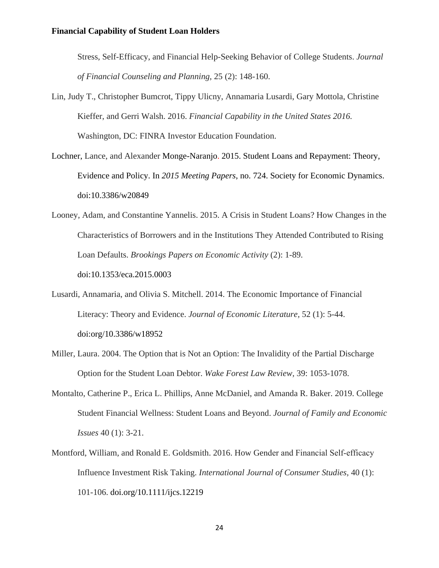Stress, Self-Efficacy, and Financial Help-Seeking Behavior of College Students. *Journal of Financial Counseling and Planning,* 25 (2): 148-160.

- Lin, Judy T., Christopher Bumcrot, Tippy Ulicny, Annamaria Lusardi, Gary Mottola, Christine Kieffer, and Gerri Walsh. 2016. *Financial Capability in the United States 2016.* Washington, DC: FINRA Investor Education Foundation.
- Lochner, Lance, and Alexander Monge-Naranjo. 2015. Student Loans and Repayment: Theory, Evidence and Policy. In *2015 Meeting Papers*, no. 724. Society for Economic Dynamics. doi:10.3386/w20849
- Looney, Adam, and Constantine Yannelis. 2015. A Crisis in Student Loans? How Changes in the Characteristics of Borrowers and in the Institutions They Attended Contributed to Rising Loan Defaults. *Brookings Papers on Economic Activity* (2): 1-89.

doi:10.1353/eca.2015.0003

- Lusardi, Annamaria, and Olivia S. Mitchell. 2014. The Economic Importance of Financial Literacy: Theory and Evidence. *Journal of Economic Literature,* 52 (1): 5-44. doi:org/10.3386/w18952
- Miller, Laura. 2004. The Option that is Not an Option: The Invalidity of the Partial Discharge Option for the Student Loan Debtor. *Wake Forest Law Review,* 39: 1053-1078.
- Montalto, Catherine P., Erica L. Phillips, Anne McDaniel, and Amanda R. Baker. 2019. College Student Financial Wellness: Student Loans and Beyond. *Journal of Family and Economic Issues* 40 (1): 3-21.
- Montford, William, and Ronald E. Goldsmith. 2016. How Gender and Financial Self‐efficacy Influence Investment Risk Taking. *International Journal of Consumer Studies,* 40 (1): 101-106. doi.org/10.1111/ijcs.12219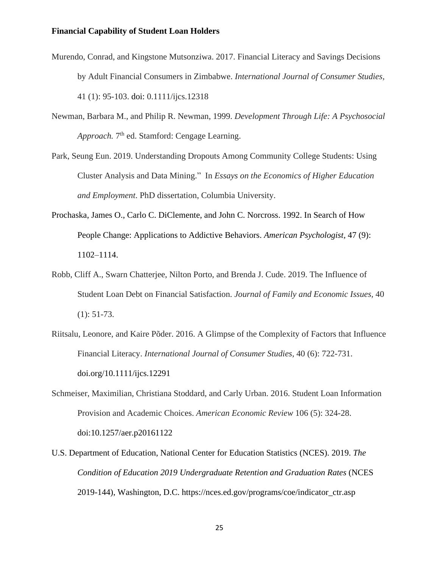- Murendo, Conrad, and Kingstone Mutsonziwa. 2017. Financial Literacy and Savings Decisions by Adult Financial Consumers in Zimbabwe. *International Journal of Consumer Studies,* 41 (1): 95-103. doi: 0.1111/ijcs.12318
- Newman, Barbara M., and Philip R. Newman, 1999. *Development Through Life: A Psychosocial*  Approach. 7<sup>th</sup> ed. Stamford: Cengage Learning.
- Park, Seung Eun. 2019. Understanding Dropouts Among Community College Students: Using Cluster Analysis and Data Mining." In *Essays on the Economics of Higher Education and Employment*. PhD dissertation, Columbia University.
- Prochaska, James O., Carlo C. DiClemente, and John C. Norcross. 1992. In Search of How People Change: Applications to Addictive Behaviors. *American Psychologist,* 47 (9): 1102–1114.
- Robb, Cliff A., Swarn Chatterjee, Nilton Porto, and Brenda J. Cude. 2019. The Influence of Student Loan Debt on Financial Satisfaction. *Journal of Family and Economic Issues,* 40 (1): 51-73.
- Riitsalu, Leonore, and Kaire Põder. 2016. A Glimpse of the Complexity of Factors that Influence Financial Literacy. *International Journal of Consumer Studies,* 40 (6): 722-731. [doi.org/10.1111/ijcs.12291](https://doi.org/10.1111/ijcs.12291)
- Schmeiser, Maximilian, Christiana Stoddard, and Carly Urban. 2016. Student Loan Information Provision and Academic Choices. *American Economic Review* 106 (5): 324-28. doi:10.1257/aer.p20161122
- U.S. Department of Education, National Center for Education Statistics (NCES). 2019. *The Condition of Education 2019 Undergraduate Retention and Graduation Rates* (NCES 2019-144), Washington, D.C. https://nces.ed.gov/programs/coe/indicator\_ctr.asp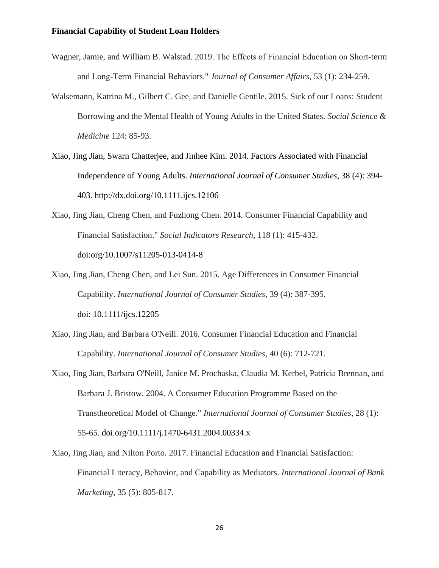- Wagner, Jamie, and William B. Walstad. 2019. The Effects of Financial Education on Short-term and Long‐Term Financial Behaviors." *Journal of Consumer Affairs,* 53 (1): 234-259.
- Walsemann, Katrina M., Gilbert C. Gee, and Danielle Gentile. 2015. Sick of our Loans: Student Borrowing and the Mental Health of Young Adults in the United States. *Social Science & Medicine* 124: 85-93.
- Xiao, Jing Jian, Swarn Chatterjee, and Jinhee Kim. 2014. Factors Associated with Financial Independence of Young Adults. *International Journal of Consumer Studies,* 38 (4): 394- 403. http://dx.doi.org/10.1111.ijcs.12106
- Xiao, Jing Jian, Cheng Chen, and Fuzhong Chen. 2014. Consumer Financial Capability and Financial Satisfaction." *Social Indicators Research,* 118 (1): 415-432. doi:org/10.1007/s11205-013-0414-8
- Xiao, Jing Jian, Cheng Chen, and Lei Sun. 2015. Age Differences in Consumer Financial Capability. *International Journal of Consumer Studies,* 39 (4): 387-395. doi: 10.1111/ijcs.12205
- Xiao, Jing Jian, and Barbara O'Neill. 2016. Consumer Financial Education and Financial Capability. *International Journal of Consumer Studies,* 40 (6): 712-721.
- Xiao, Jing Jian, Barbara O'Neill, Janice M. Prochaska, Claudia M. Kerbel, Patricia Brennan, and Barbara J. Bristow. 2004. A Consumer Education Programme Based on the Transtheoretical Model of Change." *International Journal of Consumer Studies,* 28 (1): 55-65. doi.org/10.1111/j.1470-6431.2004.00334.x
- Xiao, Jing Jian, and Nilton Porto. 2017. Financial Education and Financial Satisfaction: Financial Literacy, Behavior, and Capability as Mediators. *International Journal of Bank Marketing,* 35 (5): 805-817.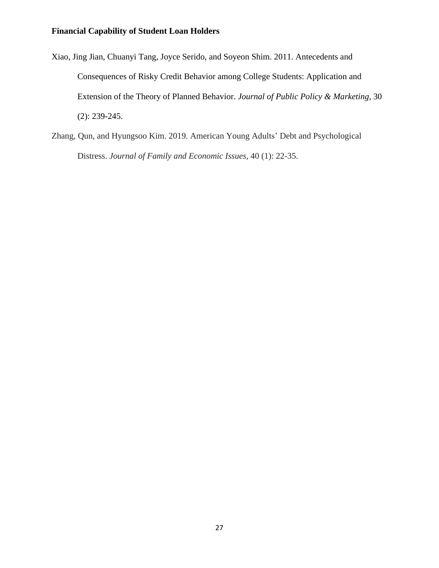- Xiao, Jing Jian, Chuanyi Tang, Joyce Serido, and Soyeon Shim. 2011. Antecedents and Consequences of Risky Credit Behavior among College Students: Application and Extension of the Theory of Planned Behavior. *Journal of Public Policy & Marketing,* 30 (2): 239-245.
- Zhang, Qun, and Hyungsoo Kim. 2019. American Young Adults' Debt and Psychological Distress. *Journal of Family and Economic Issues,* 40 (1): 22-35.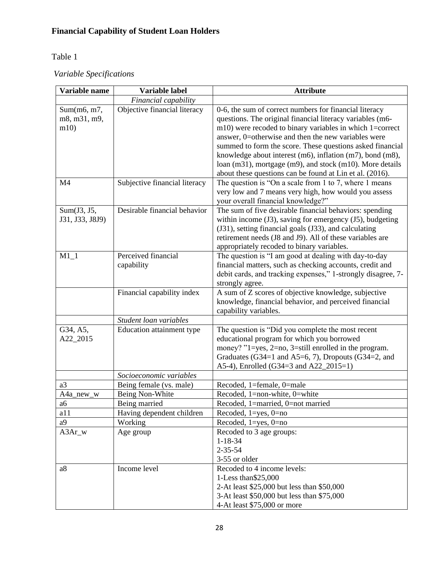Table 1

*Variable Specifications*

| Variable name                                                                                                            | Variable label                                                                                                                                                                                                                                                                                                        | <b>Attribute</b>                                                                                                                                                                                                                                                                                                                                                                                                                                                                                                                                                                                                                                                                                                                                                                                                                                                                                                                                                                                                                                                                                                                                                                                                                                                                                                                    |  |
|--------------------------------------------------------------------------------------------------------------------------|-----------------------------------------------------------------------------------------------------------------------------------------------------------------------------------------------------------------------------------------------------------------------------------------------------------------------|-------------------------------------------------------------------------------------------------------------------------------------------------------------------------------------------------------------------------------------------------------------------------------------------------------------------------------------------------------------------------------------------------------------------------------------------------------------------------------------------------------------------------------------------------------------------------------------------------------------------------------------------------------------------------------------------------------------------------------------------------------------------------------------------------------------------------------------------------------------------------------------------------------------------------------------------------------------------------------------------------------------------------------------------------------------------------------------------------------------------------------------------------------------------------------------------------------------------------------------------------------------------------------------------------------------------------------------|--|
|                                                                                                                          | Financial capability                                                                                                                                                                                                                                                                                                  |                                                                                                                                                                                                                                                                                                                                                                                                                                                                                                                                                                                                                                                                                                                                                                                                                                                                                                                                                                                                                                                                                                                                                                                                                                                                                                                                     |  |
| Sum(m6, m7,                                                                                                              | Objective financial literacy                                                                                                                                                                                                                                                                                          | 0-6, the sum of correct numbers for financial literacy                                                                                                                                                                                                                                                                                                                                                                                                                                                                                                                                                                                                                                                                                                                                                                                                                                                                                                                                                                                                                                                                                                                                                                                                                                                                              |  |
| m8, m31, m9,                                                                                                             |                                                                                                                                                                                                                                                                                                                       | questions. The original financial literacy variables (m6-                                                                                                                                                                                                                                                                                                                                                                                                                                                                                                                                                                                                                                                                                                                                                                                                                                                                                                                                                                                                                                                                                                                                                                                                                                                                           |  |
| m10                                                                                                                      |                                                                                                                                                                                                                                                                                                                       | $m10$ ) were recoded to binary variables in which 1=correct                                                                                                                                                                                                                                                                                                                                                                                                                                                                                                                                                                                                                                                                                                                                                                                                                                                                                                                                                                                                                                                                                                                                                                                                                                                                         |  |
|                                                                                                                          |                                                                                                                                                                                                                                                                                                                       | answer, 0=otherwise and then the new variables were                                                                                                                                                                                                                                                                                                                                                                                                                                                                                                                                                                                                                                                                                                                                                                                                                                                                                                                                                                                                                                                                                                                                                                                                                                                                                 |  |
|                                                                                                                          |                                                                                                                                                                                                                                                                                                                       | summed to form the score. These questions asked financial                                                                                                                                                                                                                                                                                                                                                                                                                                                                                                                                                                                                                                                                                                                                                                                                                                                                                                                                                                                                                                                                                                                                                                                                                                                                           |  |
|                                                                                                                          |                                                                                                                                                                                                                                                                                                                       | knowledge about interest (m6), inflation (m7), bond (m8),                                                                                                                                                                                                                                                                                                                                                                                                                                                                                                                                                                                                                                                                                                                                                                                                                                                                                                                                                                                                                                                                                                                                                                                                                                                                           |  |
|                                                                                                                          |                                                                                                                                                                                                                                                                                                                       | loan (m31), mortgage (m9), and stock (m10). More details                                                                                                                                                                                                                                                                                                                                                                                                                                                                                                                                                                                                                                                                                                                                                                                                                                                                                                                                                                                                                                                                                                                                                                                                                                                                            |  |
|                                                                                                                          |                                                                                                                                                                                                                                                                                                                       | about these questions can be found at Lin et al. (2016).                                                                                                                                                                                                                                                                                                                                                                                                                                                                                                                                                                                                                                                                                                                                                                                                                                                                                                                                                                                                                                                                                                                                                                                                                                                                            |  |
| M <sub>4</sub>                                                                                                           | Subjective financial literacy                                                                                                                                                                                                                                                                                         | The question is "On a scale from 1 to 7, where 1 means                                                                                                                                                                                                                                                                                                                                                                                                                                                                                                                                                                                                                                                                                                                                                                                                                                                                                                                                                                                                                                                                                                                                                                                                                                                                              |  |
|                                                                                                                          |                                                                                                                                                                                                                                                                                                                       | very low and 7 means very high, how would you assess                                                                                                                                                                                                                                                                                                                                                                                                                                                                                                                                                                                                                                                                                                                                                                                                                                                                                                                                                                                                                                                                                                                                                                                                                                                                                |  |
|                                                                                                                          |                                                                                                                                                                                                                                                                                                                       | your overall financial knowledge?"                                                                                                                                                                                                                                                                                                                                                                                                                                                                                                                                                                                                                                                                                                                                                                                                                                                                                                                                                                                                                                                                                                                                                                                                                                                                                                  |  |
|                                                                                                                          |                                                                                                                                                                                                                                                                                                                       |                                                                                                                                                                                                                                                                                                                                                                                                                                                                                                                                                                                                                                                                                                                                                                                                                                                                                                                                                                                                                                                                                                                                                                                                                                                                                                                                     |  |
|                                                                                                                          |                                                                                                                                                                                                                                                                                                                       |                                                                                                                                                                                                                                                                                                                                                                                                                                                                                                                                                                                                                                                                                                                                                                                                                                                                                                                                                                                                                                                                                                                                                                                                                                                                                                                                     |  |
|                                                                                                                          |                                                                                                                                                                                                                                                                                                                       |                                                                                                                                                                                                                                                                                                                                                                                                                                                                                                                                                                                                                                                                                                                                                                                                                                                                                                                                                                                                                                                                                                                                                                                                                                                                                                                                     |  |
|                                                                                                                          |                                                                                                                                                                                                                                                                                                                       |                                                                                                                                                                                                                                                                                                                                                                                                                                                                                                                                                                                                                                                                                                                                                                                                                                                                                                                                                                                                                                                                                                                                                                                                                                                                                                                                     |  |
|                                                                                                                          |                                                                                                                                                                                                                                                                                                                       |                                                                                                                                                                                                                                                                                                                                                                                                                                                                                                                                                                                                                                                                                                                                                                                                                                                                                                                                                                                                                                                                                                                                                                                                                                                                                                                                     |  |
|                                                                                                                          |                                                                                                                                                                                                                                                                                                                       |                                                                                                                                                                                                                                                                                                                                                                                                                                                                                                                                                                                                                                                                                                                                                                                                                                                                                                                                                                                                                                                                                                                                                                                                                                                                                                                                     |  |
|                                                                                                                          |                                                                                                                                                                                                                                                                                                                       |                                                                                                                                                                                                                                                                                                                                                                                                                                                                                                                                                                                                                                                                                                                                                                                                                                                                                                                                                                                                                                                                                                                                                                                                                                                                                                                                     |  |
|                                                                                                                          |                                                                                                                                                                                                                                                                                                                       |                                                                                                                                                                                                                                                                                                                                                                                                                                                                                                                                                                                                                                                                                                                                                                                                                                                                                                                                                                                                                                                                                                                                                                                                                                                                                                                                     |  |
|                                                                                                                          |                                                                                                                                                                                                                                                                                                                       |                                                                                                                                                                                                                                                                                                                                                                                                                                                                                                                                                                                                                                                                                                                                                                                                                                                                                                                                                                                                                                                                                                                                                                                                                                                                                                                                     |  |
|                                                                                                                          |                                                                                                                                                                                                                                                                                                                       |                                                                                                                                                                                                                                                                                                                                                                                                                                                                                                                                                                                                                                                                                                                                                                                                                                                                                                                                                                                                                                                                                                                                                                                                                                                                                                                                     |  |
|                                                                                                                          |                                                                                                                                                                                                                                                                                                                       |                                                                                                                                                                                                                                                                                                                                                                                                                                                                                                                                                                                                                                                                                                                                                                                                                                                                                                                                                                                                                                                                                                                                                                                                                                                                                                                                     |  |
|                                                                                                                          |                                                                                                                                                                                                                                                                                                                       |                                                                                                                                                                                                                                                                                                                                                                                                                                                                                                                                                                                                                                                                                                                                                                                                                                                                                                                                                                                                                                                                                                                                                                                                                                                                                                                                     |  |
|                                                                                                                          |                                                                                                                                                                                                                                                                                                                       |                                                                                                                                                                                                                                                                                                                                                                                                                                                                                                                                                                                                                                                                                                                                                                                                                                                                                                                                                                                                                                                                                                                                                                                                                                                                                                                                     |  |
|                                                                                                                          |                                                                                                                                                                                                                                                                                                                       |                                                                                                                                                                                                                                                                                                                                                                                                                                                                                                                                                                                                                                                                                                                                                                                                                                                                                                                                                                                                                                                                                                                                                                                                                                                                                                                                     |  |
|                                                                                                                          |                                                                                                                                                                                                                                                                                                                       |                                                                                                                                                                                                                                                                                                                                                                                                                                                                                                                                                                                                                                                                                                                                                                                                                                                                                                                                                                                                                                                                                                                                                                                                                                                                                                                                     |  |
|                                                                                                                          |                                                                                                                                                                                                                                                                                                                       |                                                                                                                                                                                                                                                                                                                                                                                                                                                                                                                                                                                                                                                                                                                                                                                                                                                                                                                                                                                                                                                                                                                                                                                                                                                                                                                                     |  |
|                                                                                                                          |                                                                                                                                                                                                                                                                                                                       |                                                                                                                                                                                                                                                                                                                                                                                                                                                                                                                                                                                                                                                                                                                                                                                                                                                                                                                                                                                                                                                                                                                                                                                                                                                                                                                                     |  |
|                                                                                                                          |                                                                                                                                                                                                                                                                                                                       |                                                                                                                                                                                                                                                                                                                                                                                                                                                                                                                                                                                                                                                                                                                                                                                                                                                                                                                                                                                                                                                                                                                                                                                                                                                                                                                                     |  |
|                                                                                                                          |                                                                                                                                                                                                                                                                                                                       |                                                                                                                                                                                                                                                                                                                                                                                                                                                                                                                                                                                                                                                                                                                                                                                                                                                                                                                                                                                                                                                                                                                                                                                                                                                                                                                                     |  |
|                                                                                                                          |                                                                                                                                                                                                                                                                                                                       |                                                                                                                                                                                                                                                                                                                                                                                                                                                                                                                                                                                                                                                                                                                                                                                                                                                                                                                                                                                                                                                                                                                                                                                                                                                                                                                                     |  |
|                                                                                                                          |                                                                                                                                                                                                                                                                                                                       |                                                                                                                                                                                                                                                                                                                                                                                                                                                                                                                                                                                                                                                                                                                                                                                                                                                                                                                                                                                                                                                                                                                                                                                                                                                                                                                                     |  |
|                                                                                                                          |                                                                                                                                                                                                                                                                                                                       |                                                                                                                                                                                                                                                                                                                                                                                                                                                                                                                                                                                                                                                                                                                                                                                                                                                                                                                                                                                                                                                                                                                                                                                                                                                                                                                                     |  |
|                                                                                                                          |                                                                                                                                                                                                                                                                                                                       |                                                                                                                                                                                                                                                                                                                                                                                                                                                                                                                                                                                                                                                                                                                                                                                                                                                                                                                                                                                                                                                                                                                                                                                                                                                                                                                                     |  |
|                                                                                                                          |                                                                                                                                                                                                                                                                                                                       |                                                                                                                                                                                                                                                                                                                                                                                                                                                                                                                                                                                                                                                                                                                                                                                                                                                                                                                                                                                                                                                                                                                                                                                                                                                                                                                                     |  |
|                                                                                                                          |                                                                                                                                                                                                                                                                                                                       |                                                                                                                                                                                                                                                                                                                                                                                                                                                                                                                                                                                                                                                                                                                                                                                                                                                                                                                                                                                                                                                                                                                                                                                                                                                                                                                                     |  |
|                                                                                                                          |                                                                                                                                                                                                                                                                                                                       |                                                                                                                                                                                                                                                                                                                                                                                                                                                                                                                                                                                                                                                                                                                                                                                                                                                                                                                                                                                                                                                                                                                                                                                                                                                                                                                                     |  |
|                                                                                                                          |                                                                                                                                                                                                                                                                                                                       |                                                                                                                                                                                                                                                                                                                                                                                                                                                                                                                                                                                                                                                                                                                                                                                                                                                                                                                                                                                                                                                                                                                                                                                                                                                                                                                                     |  |
|                                                                                                                          |                                                                                                                                                                                                                                                                                                                       |                                                                                                                                                                                                                                                                                                                                                                                                                                                                                                                                                                                                                                                                                                                                                                                                                                                                                                                                                                                                                                                                                                                                                                                                                                                                                                                                     |  |
|                                                                                                                          |                                                                                                                                                                                                                                                                                                                       |                                                                                                                                                                                                                                                                                                                                                                                                                                                                                                                                                                                                                                                                                                                                                                                                                                                                                                                                                                                                                                                                                                                                                                                                                                                                                                                                     |  |
|                                                                                                                          |                                                                                                                                                                                                                                                                                                                       |                                                                                                                                                                                                                                                                                                                                                                                                                                                                                                                                                                                                                                                                                                                                                                                                                                                                                                                                                                                                                                                                                                                                                                                                                                                                                                                                     |  |
|                                                                                                                          |                                                                                                                                                                                                                                                                                                                       |                                                                                                                                                                                                                                                                                                                                                                                                                                                                                                                                                                                                                                                                                                                                                                                                                                                                                                                                                                                                                                                                                                                                                                                                                                                                                                                                     |  |
|                                                                                                                          |                                                                                                                                                                                                                                                                                                                       |                                                                                                                                                                                                                                                                                                                                                                                                                                                                                                                                                                                                                                                                                                                                                                                                                                                                                                                                                                                                                                                                                                                                                                                                                                                                                                                                     |  |
| Sum(J3, J5,<br>J31, J33, J8J9)<br>$M1_1$<br>G34, A5,<br>A22_2015<br>a3<br>A4a_new_w<br>aб<br>a11<br>a9<br>$A3Ar_w$<br>a8 | Desirable financial behavior<br>Perceived financial<br>capability<br>Financial capability index<br>Student loan variables<br>Education attainment type<br>Socioeconomic variables<br>Being female (vs. male)<br>Being Non-White<br>Being married<br>Having dependent children<br>Working<br>Age group<br>Income level | The sum of five desirable financial behaviors: spending<br>within income (J3), saving for emergency (J5), budgeting<br>(J31), setting financial goals (J33), and calculating<br>retirement needs (J8 and J9). All of these variables are<br>appropriately recoded to binary variables.<br>The question is "I am good at dealing with day-to-day<br>financial matters, such as checking accounts, credit and<br>debit cards, and tracking expenses," 1-strongly disagree, 7-<br>strongly agree.<br>A sum of Z scores of objective knowledge, subjective<br>knowledge, financial behavior, and perceived financial<br>capability variables.<br>The question is "Did you complete the most recent<br>educational program for which you borrowed<br>money? "1=yes, 2=no, 3=still enrolled in the program.<br>Graduates (G34=1 and A5=6, 7), Dropouts (G34=2, and<br>A5-4), Enrolled (G34=3 and A22_2015=1)<br>Recoded, 1=female, 0=male<br>Recoded, 1=non-white, 0=white<br>Recoded, 1=married, 0=not married<br>Recoded, $1 = yes$ , $0 = no$<br>Recoded, 1=yes, 0=no<br>Recoded to 3 age groups:<br>$1 - 18 - 34$<br>$2 - 35 - 54$<br>3-55 or older<br>Recoded to 4 income levels:<br>1-Less than \$25,000<br>2-At least \$25,000 but less than \$50,000<br>3-At least \$50,000 but less than \$75,000<br>4-At least \$75,000 or more |  |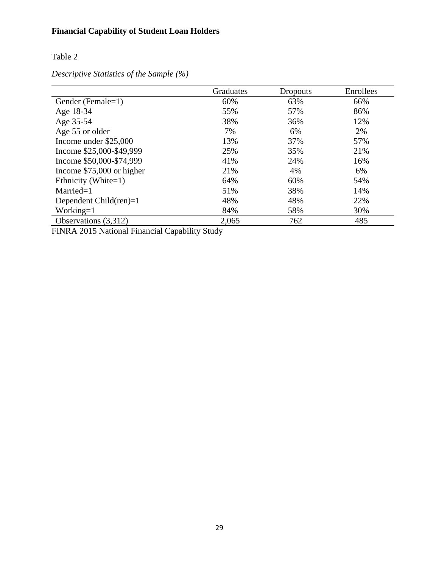Table 2

*Descriptive Statistics of the Sample (%)*

|                            | Graduates | Dropouts | Enrollees |
|----------------------------|-----------|----------|-----------|
| Gender (Female=1)          | 60%       | 63%      | 66%       |
| Age 18-34                  | 55%       | 57%      | 86%       |
| Age 35-54                  | 38%       | 36%      | 12%       |
| Age 55 or older            | 7%        | 6%       | 2%        |
| Income under \$25,000      | 13%       | 37%      | 57%       |
| Income \$25,000-\$49,999   | 25%       | 35%      | 21%       |
| Income \$50,000-\$74,999   | 41%       | 24%      | 16%       |
| Income $$75,000$ or higher | 21%       | 4%       | 6%        |
| Ethnicity (White=1)        | 64%       | 60%      | 54%       |
| $Married=1$                | 51%       | 38%      | 14%       |
| Dependent Child $(ren)=1$  | 48%       | 48%      | 22%       |
| Working $=1$               | 84%       | 58%      | 30%       |
| Observations (3,312)       | 2,065     | 762      | 485       |

FINRA 2015 National Financial Capability Study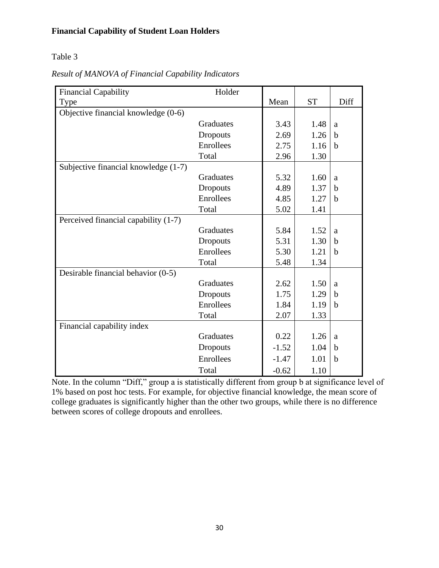Table 3

*Result of MANOVA of Financial Capability Indicators*

| <b>Financial Capability</b>          | Holder           |         |           |             |
|--------------------------------------|------------------|---------|-----------|-------------|
| Type                                 |                  | Mean    | <b>ST</b> | Diff        |
| Objective financial knowledge (0-6)  |                  |         |           |             |
|                                      | Graduates        | 3.43    | 1.48      | a           |
|                                      | Dropouts         | 2.69    | 1.26      | $\mathbf b$ |
|                                      | <b>Enrollees</b> | 2.75    | 1.16      | $\mathbf b$ |
|                                      | Total            | 2.96    | 1.30      |             |
| Subjective financial knowledge (1-7) |                  |         |           |             |
|                                      | Graduates        | 5.32    | 1.60      | a           |
|                                      | Dropouts         | 4.89    | 1.37      | $\mathbf b$ |
|                                      | Enrollees        | 4.85    | 1.27      | $\mathbf b$ |
|                                      | Total            | 5.02    | 1.41      |             |
| Perceived financial capability (1-7) |                  |         |           |             |
|                                      | Graduates        | 5.84    | 1.52      | a           |
|                                      | Dropouts         | 5.31    | 1.30      | $\mathbf b$ |
|                                      | Enrollees        | 5.30    | 1.21      | $\mathbf b$ |
|                                      | Total            | 5.48    | 1.34      |             |
| Desirable financial behavior (0-5)   |                  |         |           |             |
|                                      | Graduates        | 2.62    | 1.50      | a           |
|                                      | Dropouts         | 1.75    | 1.29      | $\mathbf b$ |
|                                      | Enrollees        | 1.84    | 1.19      | $\mathbf b$ |
|                                      | Total            | 2.07    | 1.33      |             |
| Financial capability index           |                  |         |           |             |
|                                      | Graduates        | 0.22    | 1.26      | a           |
|                                      | Dropouts         | $-1.52$ | 1.04      | $\mathbf b$ |
|                                      | Enrollees        | $-1.47$ | 1.01      | $\mathbf b$ |
|                                      | Total            | $-0.62$ | 1.10      |             |

Note. In the column "Diff," group a is statistically different from group b at significance level of 1% based on post hoc tests. For example, for objective financial knowledge, the mean score of college graduates is significantly higher than the other two groups, while there is no difference between scores of college dropouts and enrollees.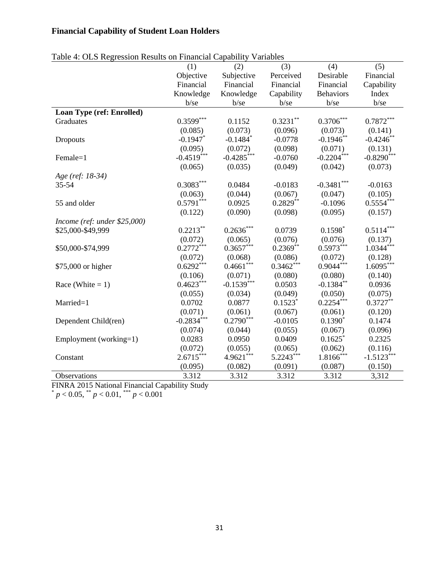| Table 4. OLS Reglession Results on Financial Capability Variables | (1)                    | (2)                    | (3)         | (4)              | (5)              |
|-------------------------------------------------------------------|------------------------|------------------------|-------------|------------------|------------------|
|                                                                   | Objective              | Subjective             | Perceived   | Desirable        | Financial        |
|                                                                   | Financial              | Financial              | Financial   | Financial        | Capability       |
|                                                                   | Knowledge              | Knowledge              | Capability  | <b>Behaviors</b> | Index            |
|                                                                   | $b$ /se                | $b$ /se                | b/se        | b/se             | $b$ /se          |
| Loan Type (ref: Enrolled)                                         |                        |                        |             |                  |                  |
| Graduates                                                         | $0.3599***$            | 0.1152                 | $0.3231**$  | $0.3706***$      | $0.7872***$      |
|                                                                   | (0.085)                | (0.073)                | (0.096)     | (0.073)          | (0.141)          |
| Dropouts                                                          | $-0.1947$ *            | $-0.1484$ <sup>*</sup> | $-0.0778$   | $-0.1946$ **     | $-0.4246*$       |
|                                                                   | (0.095)                | (0.072)                | (0.098)     | (0.071)          | (0.131)          |
| Female=1                                                          | $-0.4519***$           | $-0.4285***$           | $-0.0760$   | $-0.2204***$     | $-0.8290***$     |
|                                                                   |                        |                        |             |                  |                  |
|                                                                   | (0.065)                | (0.035)                | (0.049)     | (0.042)          | (0.073)          |
| Age (ref: 18-34)<br>$35 - 54$                                     | $0.3083***$            |                        |             |                  |                  |
|                                                                   |                        | 0.0484                 | $-0.0183$   | $-0.3481***$     | $-0.0163$        |
|                                                                   | (0.063)                | (0.044)                | (0.067)     | (0.047)          | (0.105)          |
| 55 and older                                                      | $0.5791***$            | 0.0925                 | $0.2829**$  | $-0.1096$        | $0.5554***$      |
|                                                                   | (0.122)                | (0.090)                | (0.098)     | (0.095)          | (0.157)          |
| Income (ref: under \$25,000)                                      |                        |                        |             |                  |                  |
| \$25,000-\$49,999                                                 | $0.2213***$            | $0.2636***$            | 0.0739      | $0.1598*$        | $0.5114^{***}\,$ |
|                                                                   | (0.072)                | (0.065)                | (0.076)     | (0.076)          | (0.137)          |
| \$50,000-\$74,999                                                 | $0.2772***$            | $0.3657***$            | $0.2369**$  | $0.5973***$      | $1.0344***$      |
|                                                                   | (0.072)                | (0.068)                | (0.086)     | (0.072)          | (0.128)          |
| \$75,000 or higher                                                | $0.6292***$            | $0.4661***$            | $0.3462***$ | $0.9044***$      | $1.6095***$      |
|                                                                   | (0.106)                | (0.071)                | (0.080)     | (0.080)          | (0.140)          |
| Race (White $= 1$ )                                               | $0.4623***$            | $-0.1539***$           | 0.0503      | $-0.1384**$      | 0.0936           |
|                                                                   | (0.055)                | (0.034)                | (0.049)     | (0.050)          | (0.075)          |
| Married=1                                                         | 0.0702                 | 0.0877                 | $0.1523*$   | $0.2254***$      | $0.3727**$       |
|                                                                   | (0.071)                | (0.061)                | (0.067)     | (0.061)          | (0.120)          |
| Dependent Child(ren)                                              | $-0.2834***$           | $0.2790***$            | $-0.0105$   | $0.1390*$        | 0.1474           |
|                                                                   | (0.074)                | (0.044)                | (0.055)     | (0.067)          | (0.096)          |
| Employment (working=1)                                            | 0.0283                 | 0.0950                 | 0.0409      | 0.1625           | 0.2325           |
|                                                                   | (0.072)                | (0.055)                | (0.065)     | (0.062)          | (0.116)          |
| Constant                                                          |                        | $4.9621***$            | $5.2243***$ | $1.8166***$      | $-1.5123***$     |
|                                                                   |                        |                        |             |                  |                  |
|                                                                   | $2.6715***$<br>(0.095) | (0.082)                | (0.091)     | (0.087)          | (0.150)          |

Table 4: OLS Regression Results on Financial Capability Variables

FINRA 2015 National Financial Capability Study<br>  $p < 0.05$ ,  $\binom{*}{p} < 0.01$ ,  $\binom{***}{p} < 0.001$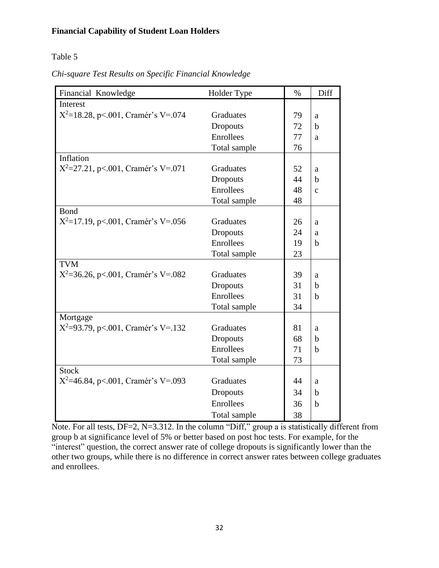Table 5

*Chi-square Test Results on Specific Financial Knowledge*

| Financial Knowledge                     | Holder Type      | $\%$ | Diff         |
|-----------------------------------------|------------------|------|--------------|
| Interest                                |                  |      |              |
| $X^2=18.28$ , p<.001, Cramér's V=.074   | <b>Graduates</b> | 79   | a            |
|                                         | Dropouts         | 72   | $\mathbf b$  |
|                                         | Enrollees        | 77   | a            |
|                                         | Total sample     | 76   |              |
| Inflation                               |                  |      |              |
| $X^2 = 27.21$ , p<.001, Cramér's V=.071 | Graduates        | 52   | a            |
|                                         | Dropouts         | 44   | $\mathbf b$  |
|                                         | Enrollees        | 48   | $\mathbf{C}$ |
|                                         | Total sample     | 48   |              |
| <b>Bond</b>                             |                  |      |              |
| $X^2=17.19$ , p<.001, Cramér's V=.056   | Graduates        | 26   | a            |
|                                         | Dropouts         | 24   | a            |
|                                         | Enrollees        | 19   | $\mathbf b$  |
|                                         | Total sample     | 23   |              |
| <b>TVM</b>                              |                  |      |              |
| $X^2 = 36.26$ , p<.001, Cramér's V=.082 | Graduates        | 39   | a            |
|                                         | Dropouts         | 31   | $\mathbf b$  |
|                                         | <b>Enrollees</b> | 31   | b            |
|                                         | Total sample     | 34   |              |
| Mortgage                                |                  |      |              |
| $X^2=93.79$ , p<.001, Cramér's V=.132   | Graduates        | 81   | a            |
|                                         | Dropouts         | 68   | b            |
|                                         | <b>Enrollees</b> | 71   | $\mathbf b$  |
|                                         | Total sample     | 73   |              |
| <b>Stock</b>                            |                  |      |              |
| $X^2=46.84$ , p<.001, Cramér's V=.093   | <b>Graduates</b> | 44   | a            |
|                                         | Dropouts         | 34   | $\mathbf b$  |
|                                         | Enrollees        | 36   | $\mathbf b$  |
|                                         | Total sample     | 38   |              |

Note. For all tests, DF=2, N=3.312. In the column "Diff," group a is statistically different from group b at significance level of 5% or better based on post hoc tests. For example, for the "interest" question, the correct answer rate of college dropouts is significantly lower than the other two groups, while there is no difference in correct answer rates between college graduates and enrollees.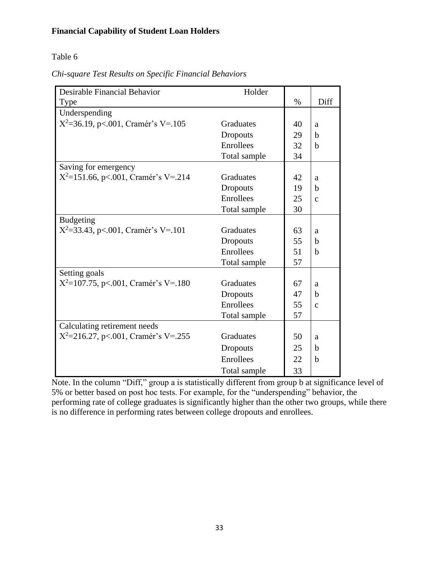Table 6

*Chi-square Test Results on Specific Financial Behaviors*

| Desirable Financial Behavior             | Holder          |      |              |
|------------------------------------------|-----------------|------|--------------|
| Type                                     |                 | $\%$ | Diff         |
| Underspending                            |                 |      |              |
| $X^2 = 36.19$ , p<.001, Cramér's V=.105  | Graduates       | 40   | a            |
|                                          | Dropouts        | 29   | b            |
|                                          | Enrollees       | 32   | $\mathbf b$  |
|                                          | Total sample    | 34   |              |
| Saving for emergency                     |                 |      |              |
| $X^2$ =151.66, p<.001, Cramér's V=.214   | Graduates       | 42   | a            |
|                                          | <b>Dropouts</b> | 19   | b            |
|                                          | Enrollees       | 25   | $\mathbf{C}$ |
|                                          | Total sample    | 30   |              |
| <b>Budgeting</b>                         |                 |      |              |
| $X^2 = 33.43$ , p<.001, Cramér's V=.101  | Graduates       | 63   | a            |
|                                          | <b>Dropouts</b> | 55   | b            |
|                                          | Enrollees       | 51   | b            |
|                                          | Total sample    | 57   |              |
| Setting goals                            |                 |      |              |
| $X^2=107.75$ , p<.001, Cramér's V=.180   | Graduates       | 67   | a            |
|                                          | <b>Dropouts</b> | 47   | b            |
|                                          | Enrollees       | 55   | $\mathbf{C}$ |
|                                          | Total sample    | 57   |              |
| Calculating retirement needs             |                 |      |              |
| $X^2 = 216.27$ , p<.001, Cramér's V=.255 | Graduates       | 50   | a            |
|                                          | Dropouts        | 25   | b            |
|                                          | Enrollees       | 22   | $\mathbf b$  |
|                                          | Total sample    | 33   |              |

Note. In the column "Diff," group a is statistically different from group b at significance level of 5% or better based on post hoc tests. For example, for the "underspending" behavior, the performing rate of college graduates is significantly higher than the other two groups, while there is no difference in performing rates between college dropouts and enrollees.